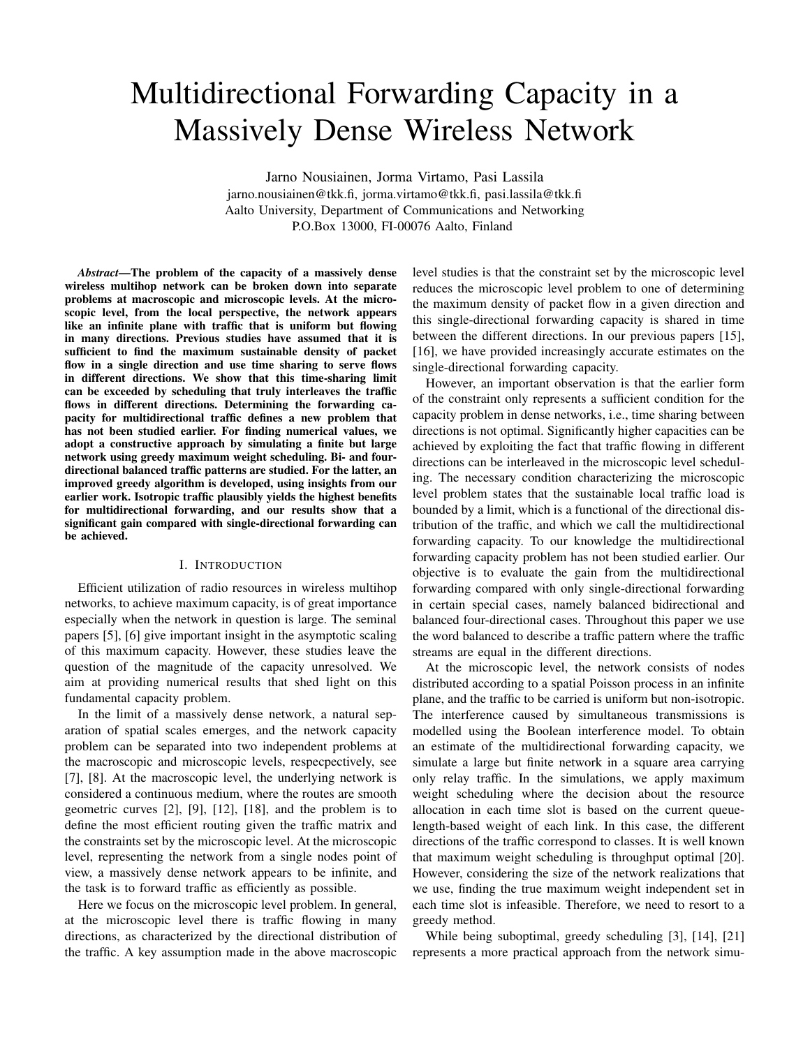# Multidirectional Forwarding Capacity in a Massively Dense Wireless Network

Jarno Nousiainen, Jorma Virtamo, Pasi Lassila jarno.nousiainen@tkk.fi, jorma.virtamo@tkk.fi, pasi.lassila@tkk.fi Aalto University, Department of Communications and Networking P.O.Box 13000, FI-00076 Aalto, Finland

*Abstract*—The problem of the capacity of a massively dense wireless multihop network can be broken down into separate problems at macroscopic and microscopic levels. At the microscopic level, from the local perspective, the network appears like an infinite plane with traffic that is uniform but flowing in many directions. Previous studies have assumed that it is sufficient to find the maximum sustainable density of packet flow in a single direction and use time sharing to serve flows in different directions. We show that this time-sharing limit can be exceeded by scheduling that truly interleaves the traffic flows in different directions. Determining the forwarding capacity for multidirectional traffic defines a new problem that has not been studied earlier. For finding numerical values, we adopt a constructive approach by simulating a finite but large network using greedy maximum weight scheduling. Bi- and fourdirectional balanced traffic patterns are studied. For the latter, an improved greedy algorithm is developed, using insights from our earlier work. Isotropic traffic plausibly yields the highest benefits for multidirectional forwarding, and our results show that a significant gain compared with single-directional forwarding can be achieved.

## I. INTRODUCTION

Efficient utilization of radio resources in wireless multihop networks, to achieve maximum capacity, is of great importance especially when the network in question is large. The seminal papers [5], [6] give important insight in the asymptotic scaling of this maximum capacity. However, these studies leave the question of the magnitude of the capacity unresolved. We aim at providing numerical results that shed light on this fundamental capacity problem.

In the limit of a massively dense network, a natural separation of spatial scales emerges, and the network capacity problem can be separated into two independent problems at the macroscopic and microscopic levels, respecpectively, see [7], [8]. At the macroscopic level, the underlying network is considered a continuous medium, where the routes are smooth geometric curves [2], [9], [12], [18], and the problem is to define the most efficient routing given the traffic matrix and the constraints set by the microscopic level. At the microscopic level, representing the network from a single nodes point of view, a massively dense network appears to be infinite, and the task is to forward traffic as efficiently as possible.

Here we focus on the microscopic level problem. In general, at the microscopic level there is traffic flowing in many directions, as characterized by the directional distribution of the traffic. A key assumption made in the above macroscopic

level studies is that the constraint set by the microscopic level reduces the microscopic level problem to one of determining the maximum density of packet flow in a given direction and this single-directional forwarding capacity is shared in time between the different directions. In our previous papers [15], [16], we have provided increasingly accurate estimates on the single-directional forwarding capacity.

However, an important observation is that the earlier form of the constraint only represents a sufficient condition for the capacity problem in dense networks, i.e., time sharing between directions is not optimal. Significantly higher capacities can be achieved by exploiting the fact that traffic flowing in different directions can be interleaved in the microscopic level scheduling. The necessary condition characterizing the microscopic level problem states that the sustainable local traffic load is bounded by a limit, which is a functional of the directional distribution of the traffic, and which we call the multidirectional forwarding capacity. To our knowledge the multidirectional forwarding capacity problem has not been studied earlier. Our objective is to evaluate the gain from the multidirectional forwarding compared with only single-directional forwarding in certain special cases, namely balanced bidirectional and balanced four-directional cases. Throughout this paper we use the word balanced to describe a traffic pattern where the traffic streams are equal in the different directions.

At the microscopic level, the network consists of nodes distributed according to a spatial Poisson process in an infinite plane, and the traffic to be carried is uniform but non-isotropic. The interference caused by simultaneous transmissions is modelled using the Boolean interference model. To obtain an estimate of the multidirectional forwarding capacity, we simulate a large but finite network in a square area carrying only relay traffic. In the simulations, we apply maximum weight scheduling where the decision about the resource allocation in each time slot is based on the current queuelength-based weight of each link. In this case, the different directions of the traffic correspond to classes. It is well known that maximum weight scheduling is throughput optimal [20]. However, considering the size of the network realizations that we use, finding the true maximum weight independent set in each time slot is infeasible. Therefore, we need to resort to a greedy method.

While being suboptimal, greedy scheduling [3], [14], [21] represents a more practical approach from the network simu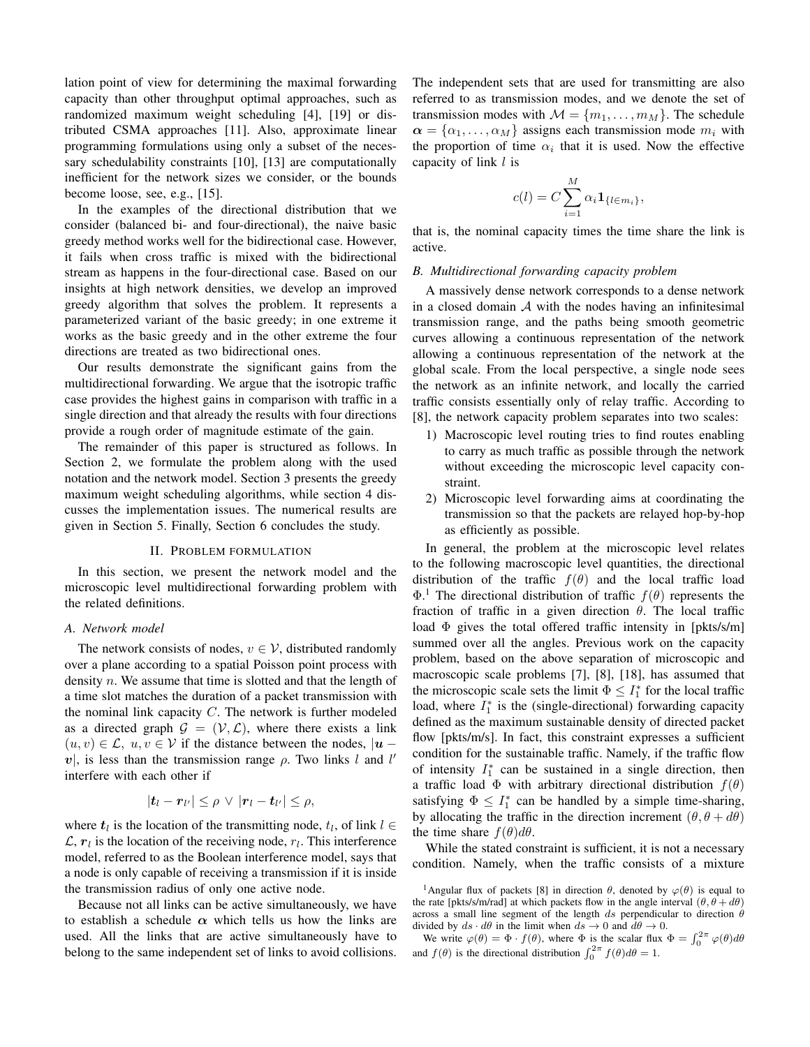lation point of view for determining the maximal forwarding capacity than other throughput optimal approaches, such as randomized maximum weight scheduling [4], [19] or distributed CSMA approaches [11]. Also, approximate linear programming formulations using only a subset of the necessary schedulability constraints [10], [13] are computationally inefficient for the network sizes we consider, or the bounds become loose, see, e.g., [15].

In the examples of the directional distribution that we consider (balanced bi- and four-directional), the naive basic greedy method works well for the bidirectional case. However, it fails when cross traffic is mixed with the bidirectional stream as happens in the four-directional case. Based on our insights at high network densities, we develop an improved greedy algorithm that solves the problem. It represents a parameterized variant of the basic greedy; in one extreme it works as the basic greedy and in the other extreme the four directions are treated as two bidirectional ones.

Our results demonstrate the significant gains from the multidirectional forwarding. We argue that the isotropic traffic case provides the highest gains in comparison with traffic in a single direction and that already the results with four directions provide a rough order of magnitude estimate of the gain.

The remainder of this paper is structured as follows. In Section 2, we formulate the problem along with the used notation and the network model. Section 3 presents the greedy maximum weight scheduling algorithms, while section 4 discusses the implementation issues. The numerical results are given in Section 5. Finally, Section 6 concludes the study.

#### II. PROBLEM FORMULATION

In this section, we present the network model and the microscopic level multidirectional forwarding problem with the related definitions.

## *A. Network model*

The network consists of nodes,  $v \in V$ , distributed randomly over a plane according to a spatial Poisson point process with density n. We assume that time is slotted and that the length of a time slot matches the duration of a packet transmission with the nominal link capacity  $C$ . The network is further modeled as a directed graph  $\mathcal{G} = (\mathcal{V}, \mathcal{L})$ , where there exists a link  $(u, v) \in \mathcal{L}$ ,  $u, v \in \mathcal{V}$  if the distance between the nodes,  $|u - v|$  $v$ , is less than the transmission range  $\rho$ . Two links l and l' interfere with each other if

$$
|\boldsymbol{t}_l-\boldsymbol{r}_{l'}|\leq\rho\,\vee\,|\boldsymbol{r}_l-\boldsymbol{t}_{l'}|\leq\rho,
$$

where  $t_l$  is the location of the transmitting node,  $t_l$ , of link  $l \in$  $\mathcal{L}, r_l$  is the location of the receiving node,  $r_l$ . This interference model, referred to as the Boolean interference model, says that a node is only capable of receiving a transmission if it is inside the transmission radius of only one active node.

Because not all links can be active simultaneously, we have to establish a schedule  $\alpha$  which tells us how the links are used. All the links that are active simultaneously have to belong to the same independent set of links to avoid collisions. The independent sets that are used for transmitting are also referred to as transmission modes, and we denote the set of transmission modes with  $\mathcal{M} = \{m_1, \ldots, m_M\}$ . The schedule  $\alpha = {\alpha_1, \ldots, \alpha_M}$  assigns each transmission mode  $m_i$  with the proportion of time  $\alpha_i$  that it is used. Now the effective capacity of link l is

$$
c(l) = C \sum_{i=1}^{M} \alpha_i \mathbf{1}_{\{l \in m_i\}},
$$

that is, the nominal capacity times the time share the link is active.

#### *B. Multidirectional forwarding capacity problem*

A massively dense network corresponds to a dense network in a closed domain  $A$  with the nodes having an infinitesimal transmission range, and the paths being smooth geometric curves allowing a continuous representation of the network allowing a continuous representation of the network at the global scale. From the local perspective, a single node sees the network as an infinite network, and locally the carried traffic consists essentially only of relay traffic. According to [8], the network capacity problem separates into two scales:

- 1) Macroscopic level routing tries to find routes enabling to carry as much traffic as possible through the network without exceeding the microscopic level capacity constraint.
- 2) Microscopic level forwarding aims at coordinating the transmission so that the packets are relayed hop-by-hop as efficiently as possible.

In general, the problem at the microscopic level relates to the following macroscopic level quantities, the directional distribution of the traffic  $f(\theta)$  and the local traffic load  $\Phi$ <sup>1</sup>. The directional distribution of traffic  $f(\theta)$  represents the fraction of traffic in a given direction  $\theta$ . The local traffic load Φ gives the total offered traffic intensity in [pkts/s/m] summed over all the angles. Previous work on the capacity problem, based on the above separation of microscopic and macroscopic scale problems [7], [8], [18], has assumed that the microscopic scale sets the limit  $\Phi \leq I_1^*$  for the local traffic load, where  $I_1^*$  is the (single-directional) forwarding capacity defined as the maximum sustainable density of directed packet flow [pkts/m/s]. In fact, this constraint expresses a sufficient condition for the sustainable traffic. Namely, if the traffic flow of intensity  $I_1^*$  can be sustained in a single direction, then a traffic load  $\Phi$  with arbitrary directional distribution  $f(\theta)$ satisfying  $\Phi \leq I_1^*$  can be handled by a simple time-sharing, by allocating the traffic in the direction increment  $(\theta, \theta + d\theta)$ the time share  $f(\theta)d\theta$ .

While the stated constraint is sufficient, it is not a necessary condition. Namely, when the traffic consists of a mixture

<sup>&</sup>lt;sup>1</sup>Angular flux of packets [8] in direction  $\theta$ , denoted by  $\varphi(\theta)$  is equal to the rate [pkts/s/m/rad] at which packets flow in the angle interval  $(\theta, \theta + d\theta)$ across a small line segment of the length ds perpendicular to direction  $\theta$ divided by  $ds \cdot d\theta$  in the limit when  $ds \to 0$  and  $d\theta \to 0$ .

We write  $\varphi(\theta) = \Phi \cdot f(\theta)$ , where  $\Phi$  is the scalar flux  $\Phi = \int_0^{2\pi} \varphi(\theta) d\theta$ and  $f(\theta)$  is the directional distribution  $\int_0^{2\pi} f(\theta) d\theta = 1$ .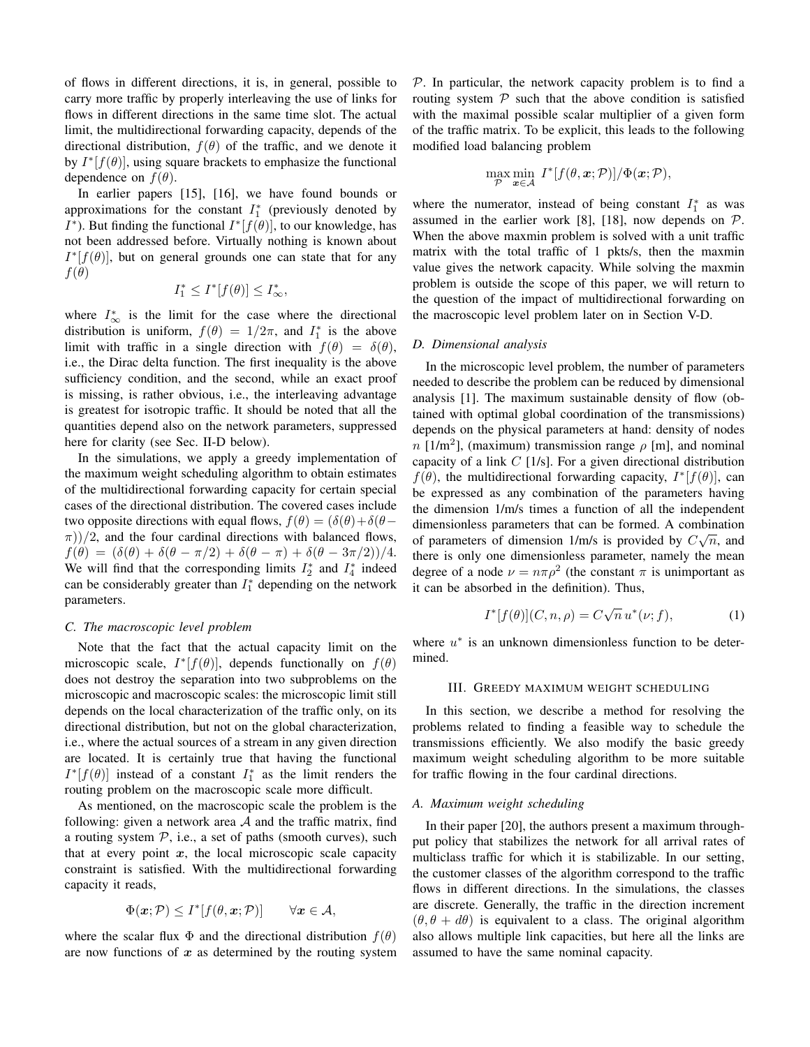of flows in different directions, it is, in general, possible to carry more traffic by properly interleaving the use of links for flows in different directions in the same time slot. The actual limit, the multidirectional forwarding capacity, depends of the directional distribution,  $f(\theta)$  of the traffic, and we denote it by  $I^*[f(\theta)]$ , using square brackets to emphasize the functional dependence on  $f(\theta)$ .

In earlier papers [15], [16], we have found bounds or approximations for the constant  $I_1^*$  (previously denoted by *I*<sup>\*</sup>). But finding the functional  $I^*[f(\theta)]$ , to our knowledge, has not been addressed before. Virtually nothing is known about  $I^*[f(\theta)]$ , but on general grounds one can state that for any  $f(\theta)$ 

$$
I_1^* \le I^*[f(\theta)] \le I_\infty^*,
$$

where  $I^*_{\infty}$  is the limit for the case where the directional distribution is uniform,  $f(\theta) = 1/2\pi$ , and  $I_1^*$  is the above limit with traffic in a single direction with  $f(\theta) = \delta(\theta)$ , i.e., the Dirac delta function. The first inequality is the above sufficiency condition, and the second, while an exact proof is missing, is rather obvious, i.e., the interleaving advantage is greatest for isotropic traffic. It should be noted that all the quantities depend also on the network parameters, suppressed here for clarity (see Sec. II-D below).

In the simulations, we apply a greedy implementation of the maximum weight scheduling algorithm to obtain estimates of the multidirectional forwarding capacity for certain special cases of the directional distribution. The covered cases include two opposite directions with equal flows,  $f(\theta) = (\delta(\theta) + \delta(\theta \pi$ ))/2, and the four cardinal directions with balanced flows,  $f(\theta) = (\delta(\theta) + \delta(\theta - \pi/2) + \delta(\theta - \pi) + \delta(\theta - 3\pi/2))/4.$ We will find that the corresponding limits  $I_2^*$  and  $I_4^*$  indeed can be considerably greater than  $I_1^*$  depending on the network parameters.

### *C. The macroscopic level problem*

Note that the fact that the actual capacity limit on the microscopic scale,  $I^*[f(\theta)]$ , depends functionally on  $f(\theta)$ does not destroy the separation into two subproblems on the microscopic and macroscopic scales: the microscopic limit still depends on the local characterization of the traffic only, on its directional distribution, but not on the global characterization, i.e., where the actual sources of a stream in any given direction are located. It is certainly true that having the functional  $I^*[f(\theta)]$  instead of a constant  $I_1^*$  as the limit renders the routing problem on the macroscopic scale more difficult.

As mentioned, on the macroscopic scale the problem is the following: given a network area  $A$  and the traffic matrix, find a routing system  $P$ , i.e., a set of paths (smooth curves), such that at every point  $x$ , the local microscopic scale capacity constraint is satisfied. With the multidirectional forwarding capacity it reads,

$$
\Phi(\mathbf{x}; \mathcal{P}) \le I^*[f(\theta, \mathbf{x}; \mathcal{P})] \qquad \forall \mathbf{x} \in \mathcal{A},
$$

where the scalar flux  $\Phi$  and the directional distribution  $f(\theta)$ are now functions of  $x$  as determined by the routing system  $P$ . In particular, the network capacity problem is to find a routing system  $P$  such that the above condition is satisfied with the maximal possible scalar multiplier of a given form of the traffic matrix. To be explicit, this leads to the following modified load balancing problem

$$
\max_{\mathcal{P}} \min_{\mathbf{x} \in \mathcal{A}} I^*[f(\theta, \mathbf{x}; \mathcal{P})] / \Phi(\mathbf{x}; \mathcal{P}),
$$

where the numerator, instead of being constant  $I_1^*$  as was assumed in the earlier work [8], [18], now depends on  $P$ . When the above maxmin problem is solved with a unit traffic matrix with the total traffic of 1 pkts/s, then the maxmin value gives the network capacity. While solving the maxmin problem is outside the scope of this paper, we will return to the question of the impact of multidirectional forwarding on the macroscopic level problem later on in Section V-D.

#### *D. Dimensional analysis*

In the microscopic level problem, the number of parameters needed to describe the problem can be reduced by dimensional analysis [1]. The maximum sustainable density of flow (obtained with optimal global coordination of the transmissions) depends on the physical parameters at hand: density of nodes  $n$  [1/m<sup>2</sup>], (maximum) transmission range  $\rho$  [m], and nominal capacity of a link  $C$  [1/s]. For a given directional distribution  $f(\theta)$ , the multidirectional forwarding capacity,  $I^*[f(\theta)]$ , can be expressed as any combination of the parameters having the dimension 1/m/s times a function of all the independent dimensionless parameters that can be formed. A combination of parameters of dimension 1/m/s is provided by  $C\sqrt{n}$ , and there is only one dimensionless parameter, namely the mean degree of a node  $\nu = n\pi \rho^2$  (the constant  $\pi$  is unimportant as it can be absorbed in the definition). Thus,

$$
I^*[f(\theta)](C, n, \rho) = C\sqrt{n} u^*(\nu; f), \qquad (1)
$$

where  $u^*$  is an unknown dimensionless function to be determined.

#### III. GREEDY MAXIMUM WEIGHT SCHEDULING

In this section, we describe a method for resolving the problems related to finding a feasible way to schedule the transmissions efficiently. We also modify the basic greedy maximum weight scheduling algorithm to be more suitable for traffic flowing in the four cardinal directions.

#### *A. Maximum weight scheduling*

In their paper [20], the authors present a maximum throughput policy that stabilizes the network for all arrival rates of multiclass traffic for which it is stabilizable. In our setting, the customer classes of the algorithm correspond to the traffic flows in different directions. In the simulations, the classes are discrete. Generally, the traffic in the direction increment  $(\theta, \theta + d\theta)$  is equivalent to a class. The original algorithm also allows multiple link capacities, but here all the links are assumed to have the same nominal capacity.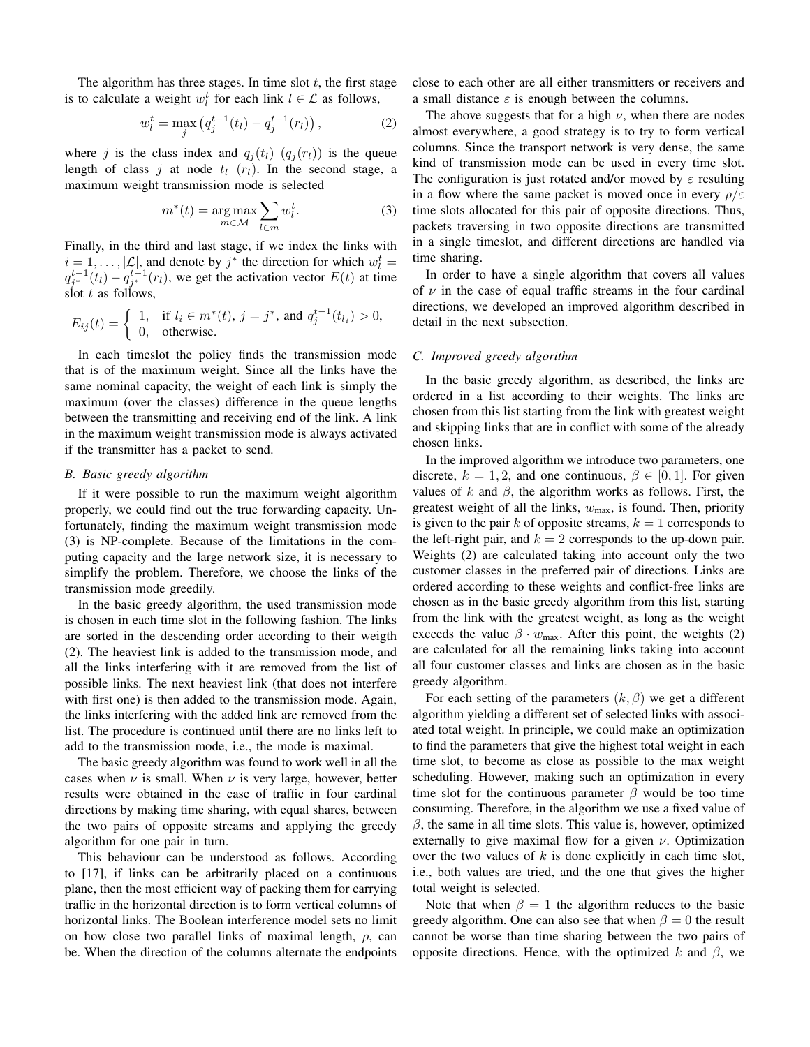The algorithm has three stages. In time slot  $t$ , the first stage is to calculate a weight  $w_l^t$  for each link  $l \in \mathcal{L}$  as follows,

$$
w_l^t = \max_j \left( q_j^{t-1}(t_l) - q_j^{t-1}(r_l) \right),\tag{2}
$$

where j is the class index and  $q_i(t_l)$   $(q_i(r_l))$  is the queue length of class j at node  $t_l$  ( $r_l$ ). In the second stage, a maximum weight transmission mode is selected

$$
m^*(t) = \underset{m \in \mathcal{M}}{\arg \max} \sum_{l \in m} w_l^t. \tag{3}
$$

Finally, in the third and last stage, if we index the links with  $i = 1, \dots, |\mathcal{L}|$ , and denote by  $j^*$  the direction for which  $w_l^t =$  $q_{j^*}^{t-1}(t_l) - q_{j^*}^{t-1}(r_l)$ , we get the activation vector  $E(t)$  at time slot  $t$  as follows.

$$
E_{ij}(t) = \begin{cases} 1, & \text{if } l_i \in m^*(t), \ j = j^*, \text{ and } q_j^{t-1}(t_{l_i}) > 0, \\ 0, & \text{otherwise.} \end{cases}
$$

In each timeslot the policy finds the transmission mode that is of the maximum weight. Since all the links have the same nominal capacity, the weight of each link is simply the maximum (over the classes) difference in the queue lengths between the transmitting and receiving end of the link. A link in the maximum weight transmission mode is always activated if the transmitter has a packet to send.

#### *B. Basic greedy algorithm*

If it were possible to run the maximum weight algorithm properly, we could find out the true forwarding capacity. Unfortunately, finding the maximum weight transmission mode (3) is NP-complete. Because of the limitations in the computing capacity and the large network size, it is necessary to simplify the problem. Therefore, we choose the links of the transmission mode greedily.

In the basic greedy algorithm, the used transmission mode is chosen in each time slot in the following fashion. The links are sorted in the descending order according to their weigth (2). The heaviest link is added to the transmission mode, and all the links interfering with it are removed from the list of possible links. The next heaviest link (that does not interfere with first one) is then added to the transmission mode. Again, the links interfering with the added link are removed from the list. The procedure is continued until there are no links left to add to the transmission mode, i.e., the mode is maximal.

The basic greedy algorithm was found to work well in all the cases when  $\nu$  is small. When  $\nu$  is very large, however, better results were obtained in the case of traffic in four cardinal directions by making time sharing, with equal shares, between the two pairs of opposite streams and applying the greedy algorithm for one pair in turn.

This behaviour can be understood as follows. According to [17], if links can be arbitrarily placed on a continuous plane, then the most efficient way of packing them for carrying traffic in the horizontal direction is to form vertical columns of horizontal links. The Boolean interference model sets no limit on how close two parallel links of maximal length,  $\rho$ , can be. When the direction of the columns alternate the endpoints close to each other are all either transmitters or receivers and a small distance  $\varepsilon$  is enough between the columns.

The above suggests that for a high  $\nu$ , when there are nodes almost everywhere, a good strategy is to try to form vertical columns. Since the transport network is very dense, the same kind of transmission mode can be used in every time slot. The configuration is just rotated and/or moved by  $\varepsilon$  resulting in a flow where the same packet is moved once in every  $\rho/\varepsilon$ time slots allocated for this pair of opposite directions. Thus, packets traversing in two opposite directions are transmitted in a single timeslot, and different directions are handled via time sharing.

In order to have a single algorithm that covers all values of  $\nu$  in the case of equal traffic streams in the four cardinal directions, we developed an improved algorithm described in detail in the next subsection.

## *C. Improved greedy algorithm*

In the basic greedy algorithm, as described, the links are ordered in a list according to their weights. The links are chosen from this list starting from the link with greatest weight and skipping links that are in conflict with some of the already chosen links.

In the improved algorithm we introduce two parameters, one discrete,  $k = 1, 2$ , and one continuous,  $\beta \in [0, 1]$ . For given values of k and  $\beta$ , the algorithm works as follows. First, the greatest weight of all the links,  $w_{\text{max}}$ , is found. Then, priority is given to the pair k of opposite streams,  $k = 1$  corresponds to the left-right pair, and  $k = 2$  corresponds to the up-down pair. Weights (2) are calculated taking into account only the two customer classes in the preferred pair of directions. Links are ordered according to these weights and conflict-free links are chosen as in the basic greedy algorithm from this list, starting from the link with the greatest weight, as long as the weight exceeds the value  $\beta \cdot w_{\text{max}}$ . After this point, the weights (2) are calculated for all the remaining links taking into account all four customer classes and links are chosen as in the basic greedy algorithm.

For each setting of the parameters  $(k, \beta)$  we get a different algorithm yielding a different set of selected links with associated total weight. In principle, we could make an optimization to find the parameters that give the highest total weight in each time slot, to become as close as possible to the max weight scheduling. However, making such an optimization in every time slot for the continuous parameter  $\beta$  would be too time consuming. Therefore, in the algorithm we use a fixed value of  $\beta$ , the same in all time slots. This value is, however, optimized externally to give maximal flow for a given  $\nu$ . Optimization over the two values of  $k$  is done explicitly in each time slot, i.e., both values are tried, and the one that gives the higher total weight is selected.

Note that when  $\beta = 1$  the algorithm reduces to the basic greedy algorithm. One can also see that when  $\beta = 0$  the result cannot be worse than time sharing between the two pairs of opposite directions. Hence, with the optimized k and  $β$ , we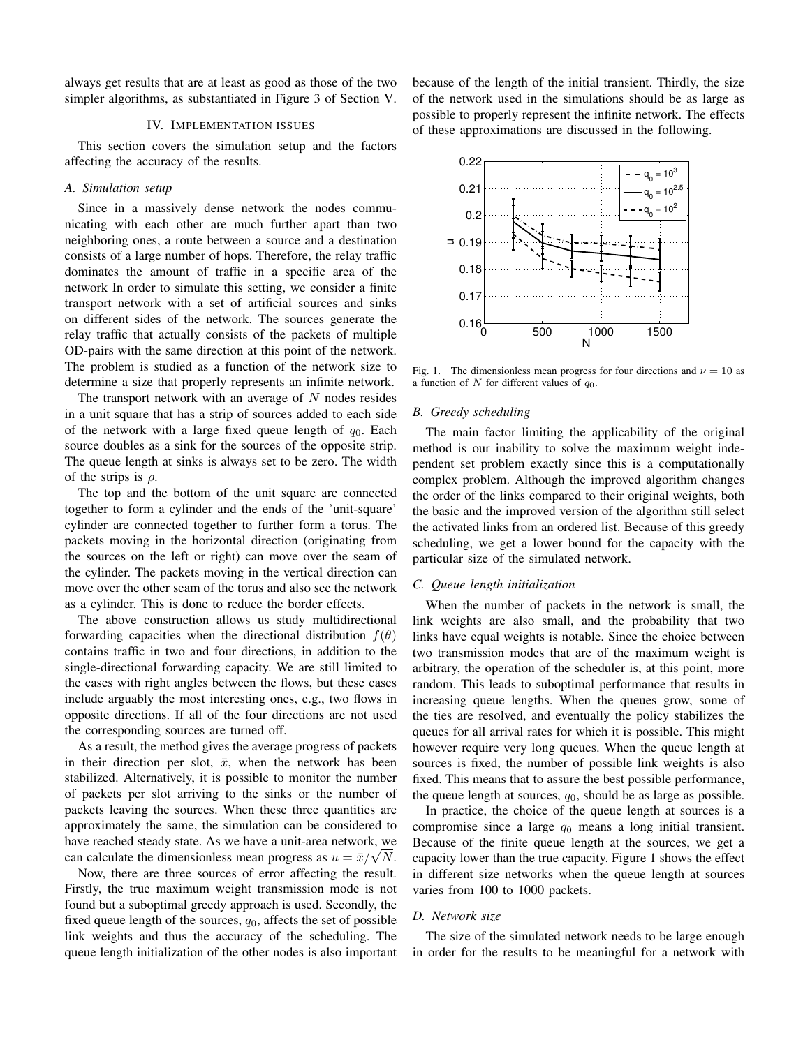always get results that are at least as good as those of the two simpler algorithms, as substantiated in Figure 3 of Section V.

## IV. IMPLEMENTATION ISSUES

This section covers the simulation setup and the factors affecting the accuracy of the results.

## *A. Simulation setup*

Since in a massively dense network the nodes communicating with each other are much further apart than two neighboring ones, a route between a source and a destination consists of a large number of hops. Therefore, the relay traffic dominates the amount of traffic in a specific area of the network In order to simulate this setting, we consider a finite transport network with a set of artificial sources and sinks on different sides of the network. The sources generate the relay traffic that actually consists of the packets of multiple OD-pairs with the same direction at this point of the network. The problem is studied as a function of the network size to determine a size that properly represents an infinite network.

The transport network with an average of  $N$  nodes resides in a unit square that has a strip of sources added to each side of the network with a large fixed queue length of  $q_0$ . Each source doubles as a sink for the sources of the opposite strip. The queue length at sinks is always set to be zero. The width of the strips is  $\rho$ .

The top and the bottom of the unit square are connected together to form a cylinder and the ends of the 'unit-square' cylinder are connected together to further form a torus. The packets moving in the horizontal direction (originating from the sources on the left or right) can move over the seam of the cylinder. The packets moving in the vertical direction can move over the other seam of the torus and also see the network as a cylinder. This is done to reduce the border effects.

The above construction allows us study multidirectional forwarding capacities when the directional distribution  $f(\theta)$ contains traffic in two and four directions, in addition to the single-directional forwarding capacity. We are still limited to the cases with right angles between the flows, but these cases include arguably the most interesting ones, e.g., two flows in opposite directions. If all of the four directions are not used the corresponding sources are turned off.

As a result, the method gives the average progress of packets in their direction per slot,  $\bar{x}$ , when the network has been stabilized. Alternatively, it is possible to monitor the number of packets per slot arriving to the sinks or the number of packets leaving the sources. When these three quantities are approximately the same, the simulation can be considered to have reached steady state. As we have a unit-area network, we have reached steady state. As we have a unit-area network, we can calculate the dimensionless mean progress as  $u = \bar{x}/\sqrt{N}$ .

Now, there are three sources of error affecting the result. Firstly, the true maximum weight transmission mode is not found but a suboptimal greedy approach is used. Secondly, the fixed queue length of the sources,  $q_0$ , affects the set of possible link weights and thus the accuracy of the scheduling. The queue length initialization of the other nodes is also important because of the length of the initial transient. Thirdly, the size of the network used in the simulations should be as large as possible to properly represent the infinite network. The effects of these approximations are discussed in the following.



Fig. 1. The dimensionless mean progress for four directions and  $\nu = 10$  as a function of N for different values of  $q_0$ .

## *B. Greedy scheduling*

The main factor limiting the applicability of the original method is our inability to solve the maximum weight independent set problem exactly since this is a computationally complex problem. Although the improved algorithm changes the order of the links compared to their original weights, both the basic and the improved version of the algorithm still select the activated links from an ordered list. Because of this greedy scheduling, we get a lower bound for the capacity with the particular size of the simulated network.

#### *C. Queue length initialization*

When the number of packets in the network is small, the link weights are also small, and the probability that two links have equal weights is notable. Since the choice between two transmission modes that are of the maximum weight is arbitrary, the operation of the scheduler is, at this point, more random. This leads to suboptimal performance that results in increasing queue lengths. When the queues grow, some of the ties are resolved, and eventually the policy stabilizes the queues for all arrival rates for which it is possible. This might however require very long queues. When the queue length at sources is fixed, the number of possible link weights is also fixed. This means that to assure the best possible performance, the queue length at sources,  $q_0$ , should be as large as possible.

In practice, the choice of the queue length at sources is a compromise since a large  $q_0$  means a long initial transient. Because of the finite queue length at the sources, we get a capacity lower than the true capacity. Figure 1 shows the effect in different size networks when the queue length at sources varies from 100 to 1000 packets.

## *D. Network size*

The size of the simulated network needs to be large enough in order for the results to be meaningful for a network with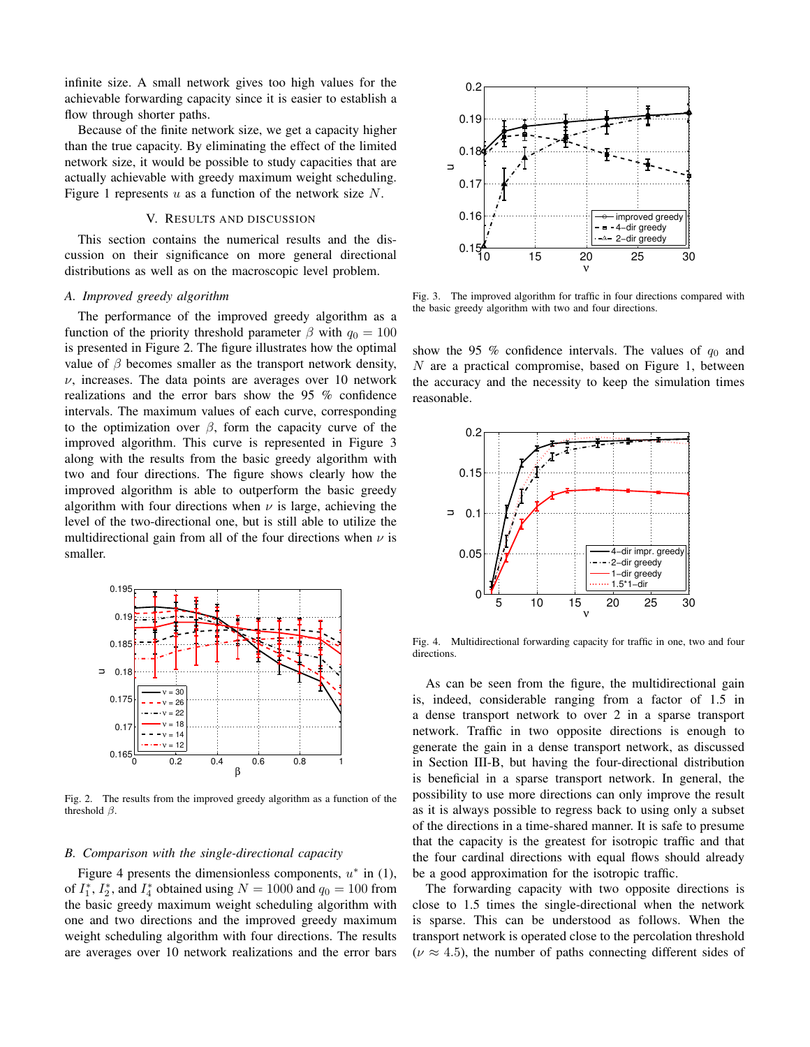infinite size. A small network gives too high values for the achievable forwarding capacity since it is easier to establish a flow through shorter paths.

Because of the finite network size, we get a capacity higher than the true capacity. By eliminating the effect of the limited network size, it would be possible to study capacities that are actually achievable with greedy maximum weight scheduling. Figure 1 represents  $u$  as a function of the network size  $N$ .

## V. RESULTS AND DISCUSSION

This section contains the numerical results and the discussion on their significance on more general directional distributions as well as on the macroscopic level problem.

## *A. Improved greedy algorithm*

The performance of the improved greedy algorithm as a function of the priority threshold parameter  $\beta$  with  $q_0 = 100$ is presented in Figure 2. The figure illustrates how the optimal value of  $\beta$  becomes smaller as the transport network density,  $\nu$ , increases. The data points are averages over 10 network realizations and the error bars show the 95 % confidence intervals. The maximum values of each curve, corresponding to the optimization over  $\beta$ , form the capacity curve of the improved algorithm. This curve is represented in Figure 3 along with the results from the basic greedy algorithm with two and four directions. The figure shows clearly how the improved algorithm is able to outperform the basic greedy algorithm with four directions when  $\nu$  is large, achieving the level of the two-directional one, but is still able to utilize the multidirectional gain from all of the four directions when  $\nu$  is smaller.



Fig. 2. The results from the improved greedy algorithm as a function of the threshold  $\beta$ .

#### *B. Comparison with the single-directional capacity*

Figure 4 presents the dimensionless components,  $u^*$  in (1), of  $I_1^*$ ,  $I_2^*$ , and  $I_4^*$  obtained using  $N = 1000$  and  $q_0 = 100$  from the basic greedy maximum weight scheduling algorithm with one and two directions and the improved greedy maximum weight scheduling algorithm with four directions. The results are averages over 10 network realizations and the error bars



Fig. 3. The improved algorithm for traffic in four directions compared with the basic greedy algorithm with two and four directions.

show the 95 % confidence intervals. The values of  $q_0$  and N are a practical compromise, based on Figure 1, between the accuracy and the necessity to keep the simulation times reasonable.



Fig. 4. Multidirectional forwarding capacity for traffic in one, two and four directions.

As can be seen from the figure, the multidirectional gain is, indeed, considerable ranging from a factor of 1.5 in a dense transport network to over 2 in a sparse transport network. Traffic in two opposite directions is enough to generate the gain in a dense transport network, as discussed in Section III-B, but having the four-directional distribution is beneficial in a sparse transport network. In general, the possibility to use more directions can only improve the result as it is always possible to regress back to using only a subset of the directions in a time-shared manner. It is safe to presume that the capacity is the greatest for isotropic traffic and that the four cardinal directions with equal flows should already be a good approximation for the isotropic traffic.

The forwarding capacity with two opposite directions is close to 1.5 times the single-directional when the network is sparse. This can be understood as follows. When the transport network is operated close to the percolation threshold  $(\nu \approx 4.5)$ , the number of paths connecting different sides of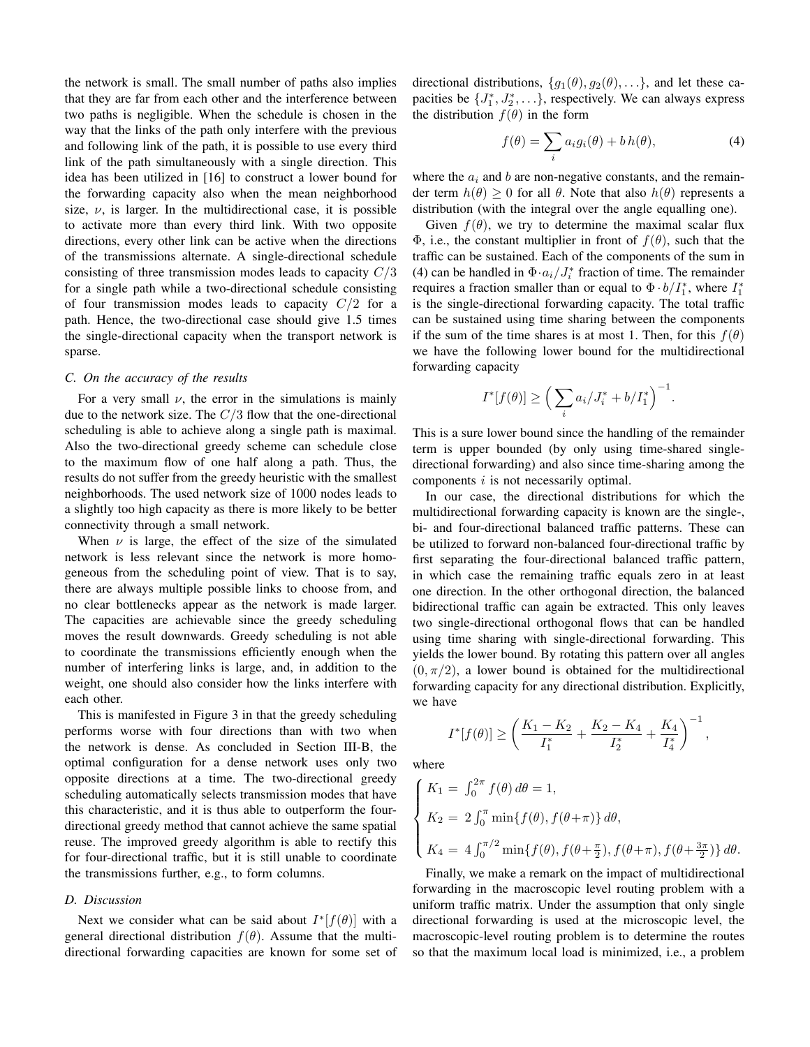the network is small. The small number of paths also implies that they are far from each other and the interference between two paths is negligible. When the schedule is chosen in the way that the links of the path only interfere with the previous and following link of the path, it is possible to use every third link of the path simultaneously with a single direction. This idea has been utilized in [16] to construct a lower bound for the forwarding capacity also when the mean neighborhood size,  $\nu$ , is larger. In the multidirectional case, it is possible to activate more than every third link. With two opposite directions, every other link can be active when the directions of the transmissions alternate. A single-directional schedule consisting of three transmission modes leads to capacity  $C/3$ for a single path while a two-directional schedule consisting of four transmission modes leads to capacity  $C/2$  for a path. Hence, the two-directional case should give 1.5 times the single-directional capacity when the transport network is sparse.

#### *C. On the accuracy of the results*

For a very small  $\nu$ , the error in the simulations is mainly due to the network size. The  $C/3$  flow that the one-directional scheduling is able to achieve along a single path is maximal. Also the two-directional greedy scheme can schedule close to the maximum flow of one half along a path. Thus, the results do not suffer from the greedy heuristic with the smallest neighborhoods. The used network size of 1000 nodes leads to a slightly too high capacity as there is more likely to be better connectivity through a small network.

When  $\nu$  is large, the effect of the size of the simulated network is less relevant since the network is more homogeneous from the scheduling point of view. That is to say, there are always multiple possible links to choose from, and no clear bottlenecks appear as the network is made larger. The capacities are achievable since the greedy scheduling moves the result downwards. Greedy scheduling is not able to coordinate the transmissions efficiently enough when the number of interfering links is large, and, in addition to the weight, one should also consider how the links interfere with each other.

This is manifested in Figure 3 in that the greedy scheduling performs worse with four directions than with two when the network is dense. As concluded in Section III-B, the optimal configuration for a dense network uses only two opposite directions at a time. The two-directional greedy scheduling automatically selects transmission modes that have this characteristic, and it is thus able to outperform the fourdirectional greedy method that cannot achieve the same spatial reuse. The improved greedy algorithm is able to rectify this for four-directional traffic, but it is still unable to coordinate the transmissions further, e.g., to form columns.

## *D. Discussion*

Next we consider what can be said about  $I^*[f(\theta)]$  with a general directional distribution  $f(\theta)$ . Assume that the multidirectional forwarding capacities are known for some set of directional distributions,  $\{g_1(\theta), g_2(\theta), \ldots\}$ , and let these capacities be  $\{J_1^*, J_2^*, \ldots\}$ , respectively. We can always express the distribution  $f(\theta)$  in the form

$$
f(\theta) = \sum_{i} a_i g_i(\theta) + b h(\theta), \qquad (4)
$$

where the  $a_i$  and b are non-negative constants, and the remainder term  $h(\theta) \geq 0$  for all  $\theta$ . Note that also  $h(\theta)$  represents a distribution (with the integral over the angle equalling one).

Given  $f(\theta)$ , we try to determine the maximal scalar flux Φ, i.e., the constant multiplier in front of  $f(θ)$ , such that the traffic can be sustained. Each of the components of the sum in (4) can be handled in  $\Phi \cdot a_i / J_i^*$  fraction of time. The remainder requires a fraction smaller than or equal to  $\Phi \cdot b / I_1^*$ , where  $I_1^*$ is the single-directional forwarding capacity. The total traffic can be sustained using time sharing between the components if the sum of the time shares is at most 1. Then, for this  $f(\theta)$ we have the following lower bound for the multidirectional forwarding capacity

$$
I^*[f(\theta)] \ge \left(\sum_i a_i / J_i^* + b / I_1^*\right)^{-1}
$$

.

This is a sure lower bound since the handling of the remainder term is upper bounded (by only using time-shared singledirectional forwarding) and also since time-sharing among the components *i* is not necessarily optimal.

In our case, the directional distributions for which the multidirectional forwarding capacity is known are the single-, bi- and four-directional balanced traffic patterns. These can be utilized to forward non-balanced four-directional traffic by first separating the four-directional balanced traffic pattern, in which case the remaining traffic equals zero in at least one direction. In the other orthogonal direction, the balanced bidirectional traffic can again be extracted. This only leaves two single-directional orthogonal flows that can be handled using time sharing with single-directional forwarding. This yields the lower bound. By rotating this pattern over all angles  $(0, \pi/2)$ , a lower bound is obtained for the multidirectional forwarding capacity for any directional distribution. Explicitly, we have

$$
I^*[f(\theta)] \ge \left(\frac{K_1 - K_2}{I_1^*} + \frac{K_2 - K_4}{I_2^*} + \frac{K_4}{I_4^*}\right)^{-1},
$$

where

$$
\begin{cases}\nK_1 = \int_0^{2\pi} f(\theta) \, d\theta = 1, \\
K_2 = 2 \int_0^{\pi} \min\{f(\theta), f(\theta + \pi)\} \, d\theta, \\
K_4 = 4 \int_0^{\pi/2} \min\{f(\theta), f(\theta + \frac{\pi}{2}), f(\theta + \pi), f(\theta + \frac{3\pi}{2})\} \, d\theta.\n\end{cases}
$$

Finally, we make a remark on the impact of multidirectional forwarding in the macroscopic level routing problem with a uniform traffic matrix. Under the assumption that only single directional forwarding is used at the microscopic level, the macroscopic-level routing problem is to determine the routes so that the maximum local load is minimized, i.e., a problem